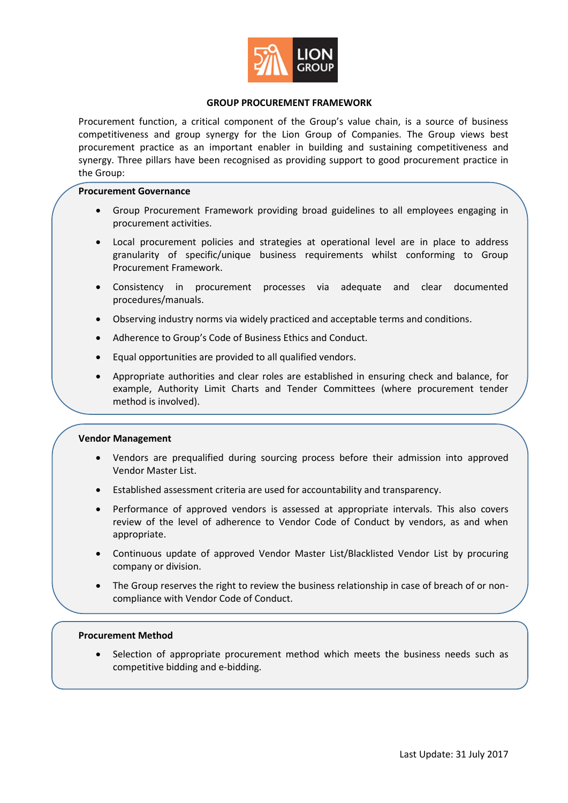

## **GROUP PROCUREMENT FRAMEWORK**

Procurement function, a critical component of the Group's value chain, is a source of business competitiveness and group synergy for the Lion Group of Companies. The Group views best procurement practice as an important enabler in building and sustaining competitiveness and synergy. Three pillars have been recognised as providing support to good procurement practice in the Group:

## **Procurement Governance**

- Group Procurement Framework providing broad guidelines to all employees engaging in procurement activities.
- Local procurement policies and strategies at operational level are in place to address granularity of specific/unique business requirements whilst conforming to Group Procurement Framework.
- Consistency in procurement processes via adequate and clear documented procedures/manuals.
- Observing industry norms via widely practiced and acceptable terms and conditions.
- Adherence to Group's Code of Business Ethics and Conduct.
- Equal opportunities are provided to all qualified vendors.
- Appropriate authorities and clear roles are established in ensuring check and balance, for example, Authority Limit Charts and Tender Committees (where procurement tender method is involved).

#### **Vendor Management**

- Vendors are prequalified during sourcing process before their admission into approved Vendor Master List.
- Established assessment criteria are used for accountability and transparency.
- Performance of approved vendors is assessed at appropriate intervals. This also covers review of the level of adherence to Vendor Code of Conduct by vendors, as and when appropriate.
- Continuous update of approved Vendor Master List/Blacklisted Vendor List by procuring company or division.
- The Group reserves the right to review the business relationship in case of breach of or noncompliance with Vendor Code of Conduct.

#### **Procurement Method**

 Selection of appropriate procurement method which meets the business needs such as competitive bidding and e-bidding.